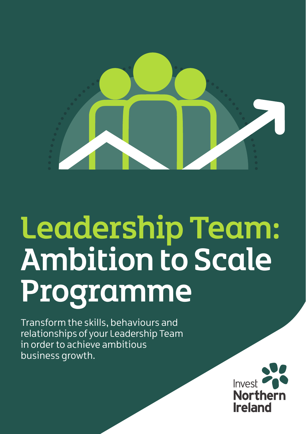

# Leadership Team: Ambition to Scale Programme

Transform the skills, behaviours and relationships of your Leadership Team in order to achieve ambitious business growth.

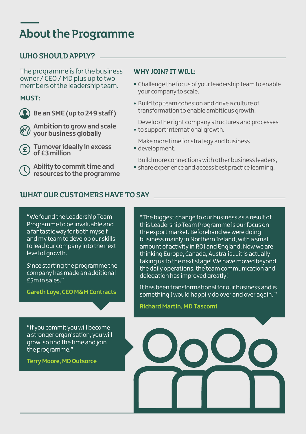## About the Programme

### UJHO SHOULD APPLY?

The programme is for the business owner / CEO / MD plus up to two members of the leadership team.

### **MUST:**

**Be an SME (up to 249 staff)** 

**Ambition to grow and scale**  *<u>W</u>* vour business globally

**Turnover ideally in excess** E) **of £3 million**

**Ability to commit time and resources to the programme**

### **WHY JOIN? IT WILL:**

- Challenge the focus of your leadership team to enable your company to scale.
- Build top team cohesion and drive a culture of transformation to enable ambitious growth.

Develop the right company structures and processes to support international growth.

Make more time for strategy and business

development.

Build more connections with other business leaders,

share experience and access best practice learning.

### WHAT OUR CUSTOMERS HAVE TO SAY

"We found the Leadership Team Programme to be invaluable and a fantastic way for both myself and my team to develop our skills to lead our company into the next level of growth.

Since starting the programme the company has made an additional £5m in sales."

**Gareth Loye, CEO M&M Contracts**

"The biggest change to our business as a result of this Leadership Team Programme is our focus on the export market. Beforehand we were doing business mainly in Northern Ireland, with a small amount of activity in ROI and England. Now we are thinking Europe, Canada, Australia....it is actually taking us to the next stage! We have moved beyond the daily operations, the team communication and delegation has improved greatly!

It has been transformational for our business and is something I would happily do over and over again. "

**Richard Martin, MD Tascomi**

"If you commit you will become a stronger organisation, you will grow, so find the time and join the programme."

**Terry Moore, MD Outsorce**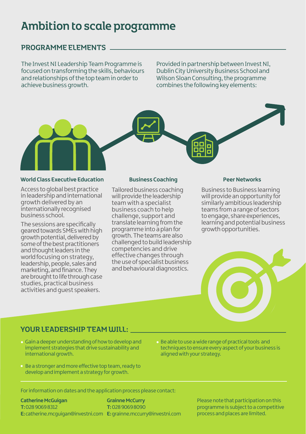# Ambition to scale programme

### PROGRAMME ELEMENTS

The Invest NI Leadership Team Programme is focused on transforming the skills, behaviours and relationships of the top team in order to achieve business growth.

Provided in partnership between Invest NI, Dublin City University Business School and Wilson Sloan Consulting, the programme combines the following key elements:



### **World Class Executive Education Business Coaching Peer Networks**

Access to global best practice in leadership and international growth delivered by an internationally recognised business school.

The sessions are specifically geared towards SMEs with high growth potential, delivered by some of the best practitioners and thought leaders in the world focusing on strategy, leadership, people, sales and marketing, and finance. They are brought to life through case studies, practical business activities and guest speakers.

Tailored business coaching will provide the leadership team with a specialist business coach to help challenge, support and translate learning from the programme into a plan for growth. The teams are also challenged to build leadership competencies and drive effective changes through the use of specialist business and behavioural diagnostics.

Business to Business learning will provide an opportunity for similarly ambitious leadership teams from a range of sectors to engage, share experiences, learning and potential business growth opportunities.



### YOUR LEADERSHIP TEAM WILL:

- Gain a deeper understanding of how to develop and implement strategies that drive sustainability and international growth.
- Be a stronger and more effective top team, ready to develop and implement a strategy for growth.
- Be able to use a wide range of practical tools and techniques to ensure every aspect of your business is aligned with your strategy.

For information on dates and the application process please contact:

**Catherine McGuigan T:** 028 9069 8312 **E:** catherine.mcguigan@investni.com **E:** grainne.mccurry@investni.com**Grainne McCurry T:** 028 9069 8090

Please note that participation on this programme is subject to a competitive process and places are limited.